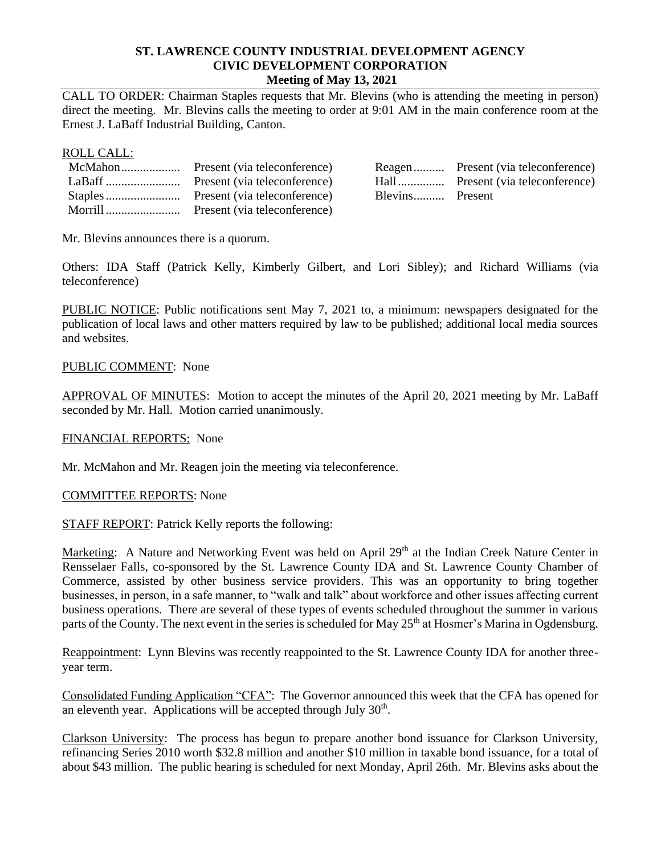# **ST. LAWRENCE COUNTY INDUSTRIAL DEVELOPMENT AGENCY CIVIC DEVELOPMENT CORPORATION Meeting of May 13, 2021**

CALL TO ORDER: Chairman Staples requests that Mr. Blevins (who is attending the meeting in person) direct the meeting. Mr. Blevins calls the meeting to order at 9:01 AM in the main conference room at the Ernest J. LaBaff Industrial Building, Canton.

#### ROLL CALL:

|  |                 | Reagen Present (via teleconference) |
|--|-----------------|-------------------------------------|
|  |                 |                                     |
|  | Blevins Present |                                     |
|  |                 |                                     |

Mr. Blevins announces there is a quorum.

Others: IDA Staff (Patrick Kelly, Kimberly Gilbert, and Lori Sibley); and Richard Williams (via teleconference)

PUBLIC NOTICE: Public notifications sent May 7, 2021 to, a minimum: newspapers designated for the publication of local laws and other matters required by law to be published; additional local media sources and websites.

# PUBLIC COMMENT: None

APPROVAL OF MINUTES: Motion to accept the minutes of the April 20, 2021 meeting by Mr. LaBaff seconded by Mr. Hall. Motion carried unanimously.

#### FINANCIAL REPORTS: None

Mr. McMahon and Mr. Reagen join the meeting via teleconference.

#### COMMITTEE REPORTS: None

STAFF REPORT: Patrick Kelly reports the following:

Marketing: A Nature and Networking Event was held on April 29<sup>th</sup> at the Indian Creek Nature Center in Rensselaer Falls, co-sponsored by the St. Lawrence County IDA and St. Lawrence County Chamber of Commerce, assisted by other business service providers. This was an opportunity to bring together businesses, in person, in a safe manner, to "walk and talk" about workforce and other issues affecting current business operations. There are several of these types of events scheduled throughout the summer in various parts of the County. The next event in the series is scheduled for May 25<sup>th</sup> at Hosmer's Marina in Ogdensburg.

Reappointment: Lynn Blevins was recently reappointed to the St. Lawrence County IDA for another threeyear term.

Consolidated Funding Application "CFA": The Governor announced this week that the CFA has opened for an eleventh year. Applications will be accepted through July  $30<sup>th</sup>$ .

Clarkson University: The process has begun to prepare another bond issuance for Clarkson University, refinancing Series 2010 worth \$32.8 million and another \$10 million in taxable bond issuance, for a total of about \$43 million. The public hearing is scheduled for next Monday, April 26th. Mr. Blevins asks about the